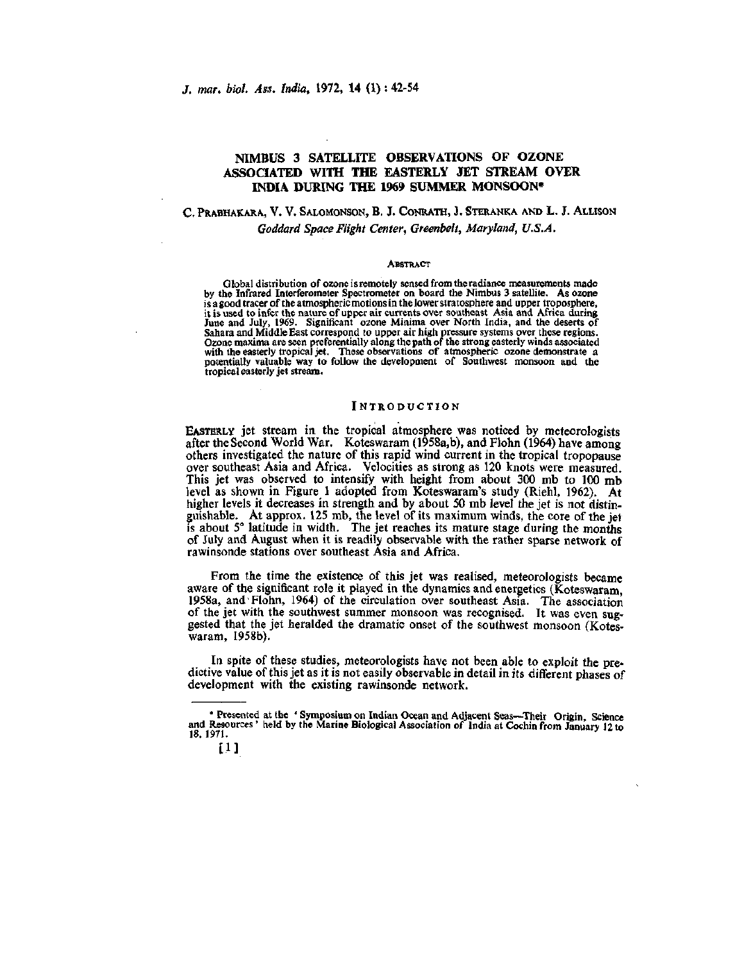# **NIMBUS 3 SATELLITE OBSERVATIONS OF OZONE ASSOCIATED WITH THE EASTERLY JET STREAM OVER INDIA DURING THE 1969 SUMMER MONSOON\***

# C. PRABHAKARA, V. V. SALOMONSON, B. J. CONRATH, J. STERANKA AND L. J. ALLISON *Goddard Space Flight Center, Greenbelt, Maryland, U.S.A.*

#### **ABSTRACT**

Global distribution of ozone is remotely sensed from the radiance measurements made by the Infrared Interferometer Spectrometer on board the Nimbus 3 satellite. As ozone is a good tracer of the atmospheric motions in the lower stratosphere and upper troposphere, it is used to infer the nature of upper air currents over southeast Asia and Africa during June and July, 1969. Significant ozone Minima over North India, and the deserts of Sahara and Middle East correspond to upper air high pressure systems over these regions. Come maxima are seen preferentially along the path of the strong easterly winds associated<br>with the easterly tropical jet. These observations of atmospheric ozone demonstrate a<br>potentially valuable way to follow the develo tropical easterly jet stream.

## INTRODUCTION

EASTERLY jet stream in the tropical atmosphere was noticed by meteorologists after the Second World War. Koteswaram (1958a,b), and Flohn (1964) have among others investigated the nature of this rapid wind current in the tropical tropopause over southeast Asia and Africa. Velocities as strong as 120 knots were measured. This jet was observed to intensify with height from about 300 mb to 100 mb level as shown in Figure 1 adopted from Koteswaram's study (Riehl, 1962). At higher levels it decreases in strength and by about 50 mb level the jet is not distinguishable. At approx. 125 mb, the level of its maximum winds, the core of the jet is about 5° latitude in width. The jet reaches its mature stage during the months of July and August when it is readily observable with the rather sparse network of rawinsonde stations over southeast Asia and Africa.

From the time the existence of this jet was realised, meteorologists became aware of the significant role it played in the dynamics and energetics (Koteswaram, 1958a, and Flohn, 1964) of the circulation over southeast Asia. The association of the jet with the southwest summer monsoon was recognised. It was even suggested that the jet heralded the dramatic onset of the southwest monsoon (Koteswaram, 1958b).

In spite of these studies, meteorologists have not been able to exploit the predictive value of this jet as it is not easily observable in detail in its different phases of development with the existing rawinsonde network.

<sup>•</sup> Presented at the ' Symposium on Indian Ocean and Adjacent Seas—Their Origin, Science and Resources' held by the Marine Biological Association of India at Cochin from January 12 to 18, 1971.

 $\left[1\right]$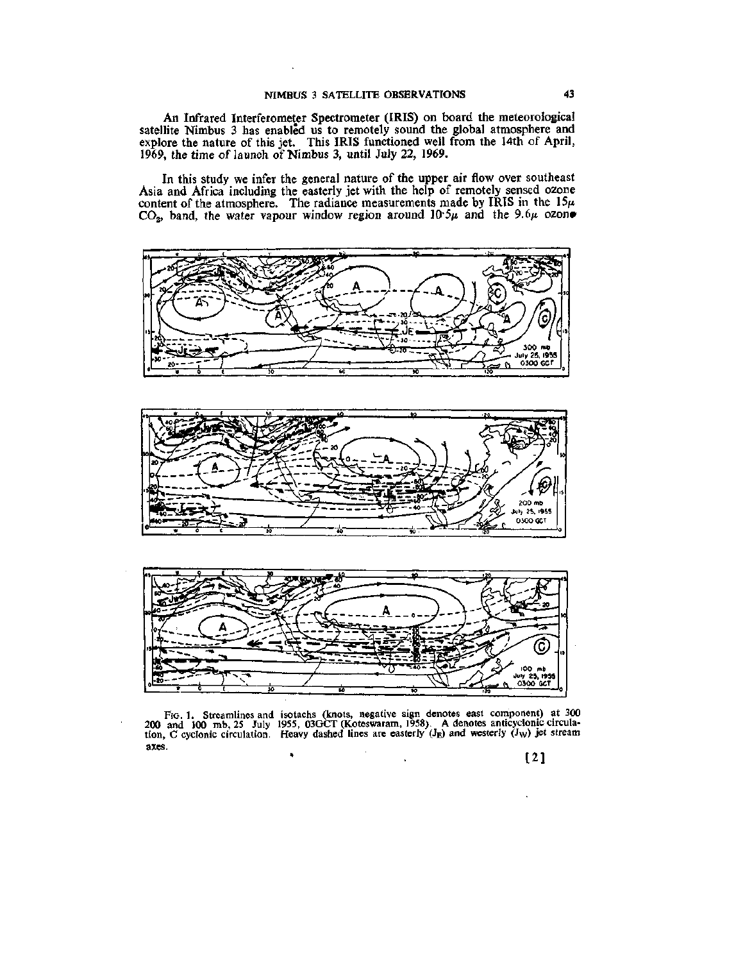An Infrared Interferometer Spectrometer (IRIS) on board the meteorological satellite Nimbus 3 has enabled us to remotely sound the global atmosphere and explore the nature of this jet. This IRIS functioned well from the 14th of April, 1969, the time of launch of Nimbus 3, until July 22, 1969.

In this study we infer the general nature of the upper air flow over southeast Asia and Africa including the easterly jet with the help of remotely sensed ozone content of the atmosphere. The radiance measurements made by IRIS in the  $15\mu$  $CO<sub>2</sub>$ , band, the water vapour window region around  $10.5\mu$  and the 9.6 $\mu$  ozone



Fio. 1. Streamlines and isotachs (knots, negative sign denotes east component) at 300 **200** and 100 mb, 25 July 1955, 03GCT (Koteswaram, 1958). A denotes anticyclonic circulation, C cyclonic circulation. Heavy dashed lines are easterly  $(J<sub>E</sub>)$  and westerly  $(J<sub>W</sub>)$  jet stream axes.

[2]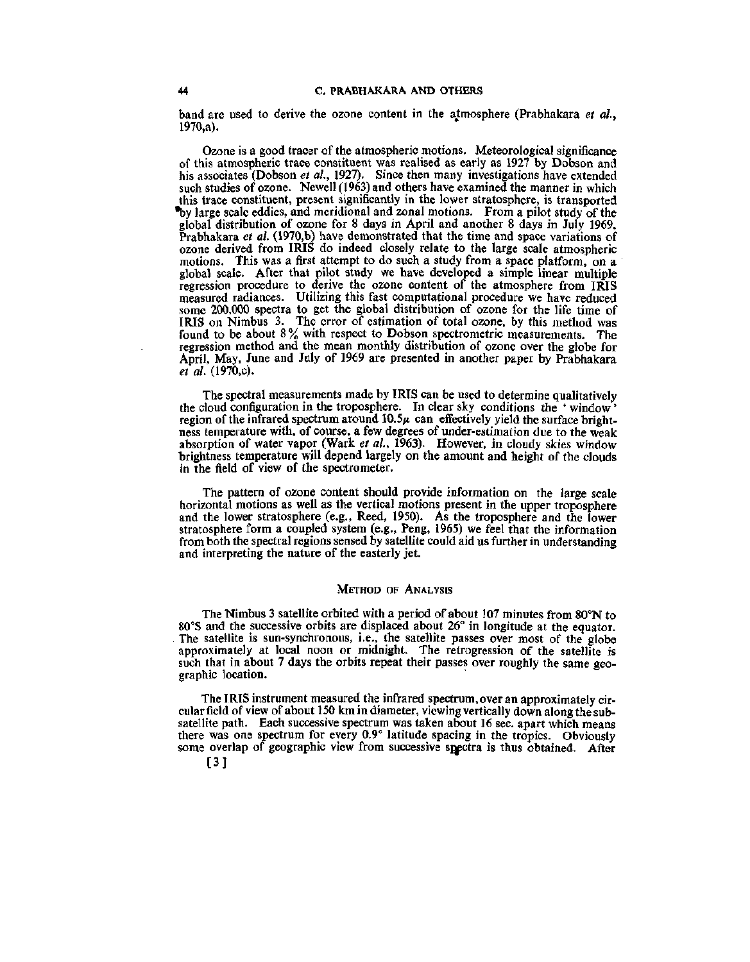band are used to derive the ozone content in the atmosphere (Prabhakara *et al.,*  1970,a).

Ozone is a good tracer of the atmospheric motions. Meteorological significance of this atmospheric trace constituent was realised as early as 1927 by Dobson and his associates (Dobson *et al.,* 1927). Since then many investigations have extended such studies of ozone. Newell (1963) and others have examined the manner in which this trace constituent, present significantly in the lower stratosphere, is transported •by large scale eddies, and meridional and zonal motions. From a pilot study of the global distribution of ozone for 8 days in April and another 8 days in July 1969, Prabhakara *et al.* (1970,b) have demonstrated that the time and space variations of ozone derived from IRIS do indeed closely relate to the large scale atmospheric motions. This was a first attempt to do such a study from a space platform, on a global scale. After that pilot study we have developed a simple linear multiple regression procedure to derive the ozone content of the atmosphere from IRIS measured radiances. Utilizing this fast computational procedure we have reduced some 200,000 spectra to get the global distribution of ozone for the life time of IRIS on Nimbus 3. The error of estimation of total ozone, by this method was found to be about  $8\%$  with respect to Dobson spectrometric measurements. The regression method and the mean monthly distribution of ozone over the globe for April, May, June and July of 1969 are presented in another paper by Prabhakara *et al.* (1970,c).

The spectral measurements made by IRIS can be used to determine qualitatively the cloud configuration in the troposphere. In clear sky conditions the ' window' region of the infrared spectrum around  $10.5\mu$  can effectively yield the surface brightness temperature with, of course, a few degrees of under-estimation due to the weak absorption of water vapor (Wark *et al.,* 1963). However, in cloudy skies window brightness temperature will depend largely on the amount and height of the clouds in the field of view of the spectrometer.

The pattern of ozone content should provide information on the large scale horizontal motions as well as the vertical motions present in the upper troposphere and the lower stratosphere (e.g.. Reed, 1950). As the troposphere and the lower stratosphere form a coupled system (e.g., Peng, 1965) we feel that the information from both the spectral regions sensed by satellite could aid us further in understanding and interpreting the nature of the easterly jet.

#### METHOD OF ANALYSIS

The Nimbus 3 satellite orbited with a period of about 107 minutes from 80°N to 80°S and the successive orbits are displaced about 26° in longitude at the equator The satellite is sun-synchronous, i.e., the satellite passes over most of the globe approximately at local noon or midnight. The retrogression of the satellite is such that in about 7 days the orbits repeat their passes over roughly the same geographic location.

The IRIS instrument measured the infrared spectrum, over an approximately circular field of view of about 150 km in diameter, viewing vertically down along the subsatellite path. Each successive spectrum was taken about 16 sec. apart which means there was one spectrum for every 0.9° latitude spacing in the tropics. Obviously some overlap of geographic view from successive snectra is thus obtained. After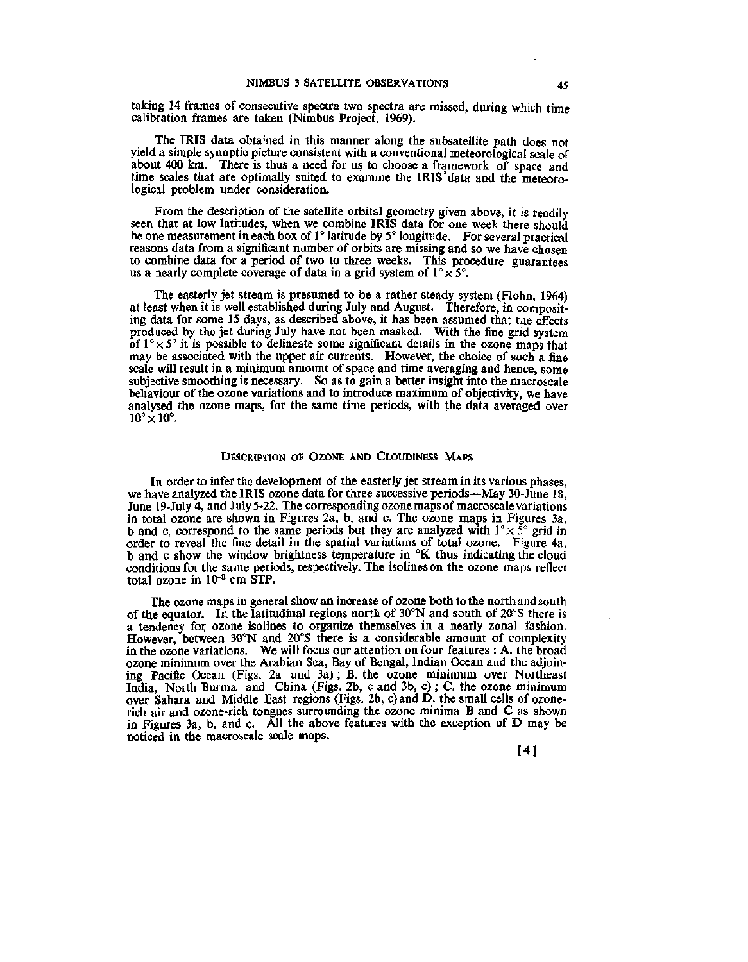taking 14 frames of consecutive spectra two spectra are missed, during which time calibration frames are taken (Nimbus Project, 1969).

The IRIS data obtained in this manner along the subsatellite path does not yield a simple synoptic picture consistent with a conventional meteorological scale of about 400 km. There is thus a need for us to choose a framework of space and time scales that are optimally suited to examine the IRIS'data and the meteorological problem under consideration.

From the description of the satellite orbital geometry given above, it is readily seen that at low latitudes, when we combine IRIS data for one week there should be one measurement in each box of 1° latitude by 5° longitude. For several practical reasons data from a significant number of orbits are missing and so we have chosen to combine data for a period of two to three weeks. This procedure guarantees us a nearly complete coverage of data in a grid system of  $1^{\circ} \times 5^{\circ}$ .

The easterly jet stream is presumed to be a rather steady system (Flohn, 1964) at least when it is well established diuring July and August. Therefore, in compositing data for some 15 days, as described above, it has been assumed that the effects produced by the jet during July have not been masked. With the fine grid system of  $1^{\circ} \times 5^{\circ}$  it is possible to delineate some significant details in the ozone maps that may be associated with the upper air currents. However, the choice of such a fine scale will result in a minimum amount of space and time averaging and hence, some subjective smoothing is necessary. So as to gain a better insight into the macroscale behaviour of the ozone variations and to introduce maximum of objectivity, we have analysed the ozone maps, for the same time periods, with the data averaged over  $10^{\circ} \times 10^{\circ}$ .

### DESCRIPTION OF OZONE AND CLOUDINESS MAPS

In order to infer the development of the easterly jet stream in its various phases, we have analyzed the IRIS ozone data for three successive periods—May 30-June 18, June 19-July 4, and July 5-22. The corresponding ozone maps of macroscale variations in total ozone are shown in Figures 2a, b, and c. The ozone maps in Figures 3a, b and c, correspond to the same periods but they are analyzed with  $1^{\circ} \times 5^{\circ}$  grid in order to reveal the fine detail in the spatial variations of total ozone. Figure 4a, b and c show the window brightness temperature in °K thus indicating the cloud conditions for the same periods, respectively. The isolineson the ozone maps reflect total ozone in *lOr^* cm STP.

The ozone maps in general show an increase of ozone both to the north and south of the equator. In the latitudinal regions north of 30°N and south of 20°S there is a tendency for ozone isolines to organize themselves in a nearly zonal fashion. However, between 30°N and 20°S there is a considerable amount of complexity in the ozone variations. We will focus our attention on four features : A. the broad ozone minimum over the Arabian Sea, Bay of Bengal, Indian Ocean and the adjoining Pacific Ocean (Figs. 2a and 3a); B. the ozone minimum over Northeast India, North Burma and China (Figs. 2b, c and 3b, c) ; C. the ozone minimum over Sahara and Middle East regions (Figs. 2b, c) and D. the small cells of ozonerich air and ozone-rich tongues surrounding the ozone minima B and C as shown in Figures 3a, b, and c. All the above features with the exception of D may be noticed in the macroscale scale maps.

[4]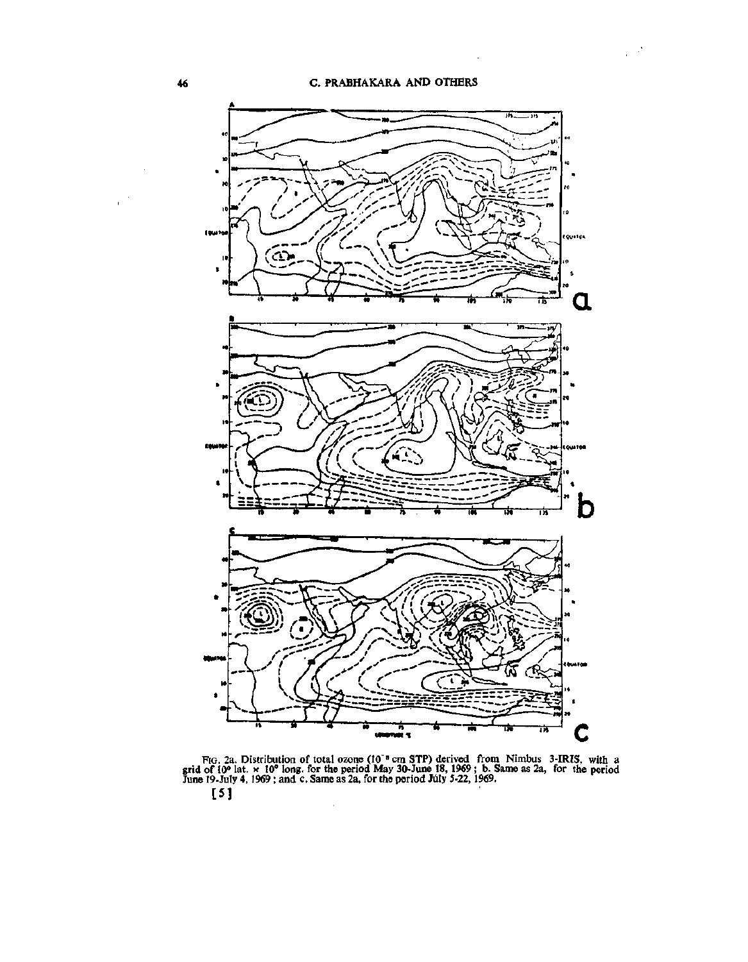l.



FIG. 2a. Distribution of total ozone (10<sup>th</sup> cm STP) derived from Nimbus 3-IRIS, with a grid of 10° lat. x 10° long, for the period May 30-June 18,1969; b. Same as 2a, for the period June 19-July 4, 1969; and c. Same as 2a, for the period July 5-22, 1969. **[5]** 

 $\ddot{\phantom{a}}$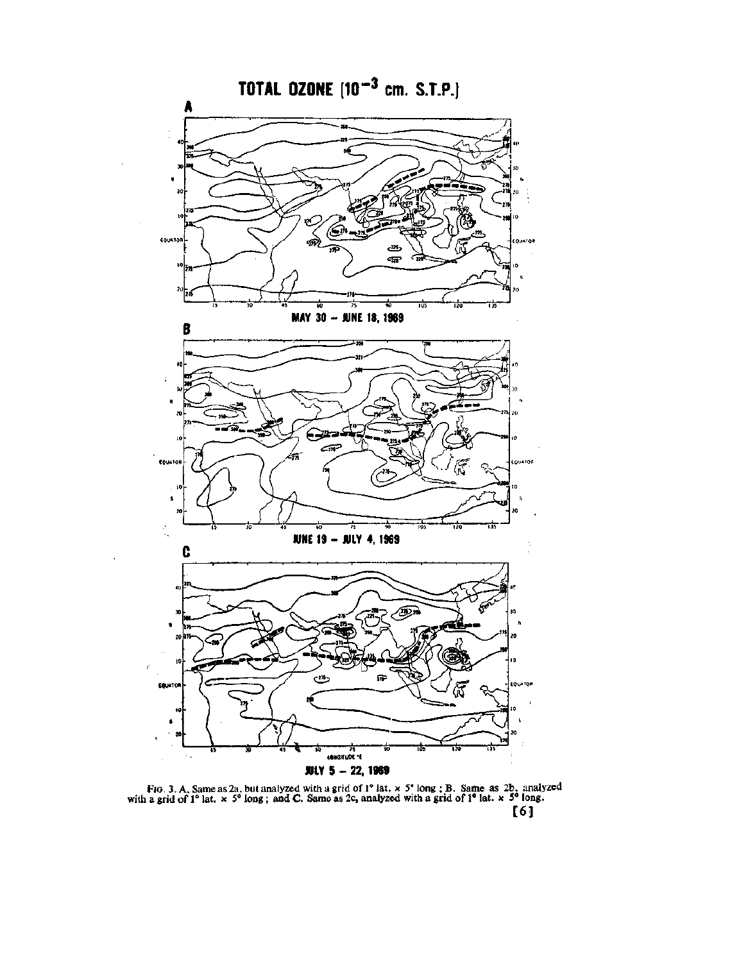

FIG. 3. A. Same as 2a, but analyzed with a grid of  $1^{\circ}$  lat.  $\times 5^{\circ}$  long ; B. Same as 2b, analyzed with a grid of 1° lat.  $x > 5$ ° long; and C. Same as 2c, analyzed with a grid of 1° lat.  $x > 5$ ° long.

**[6]**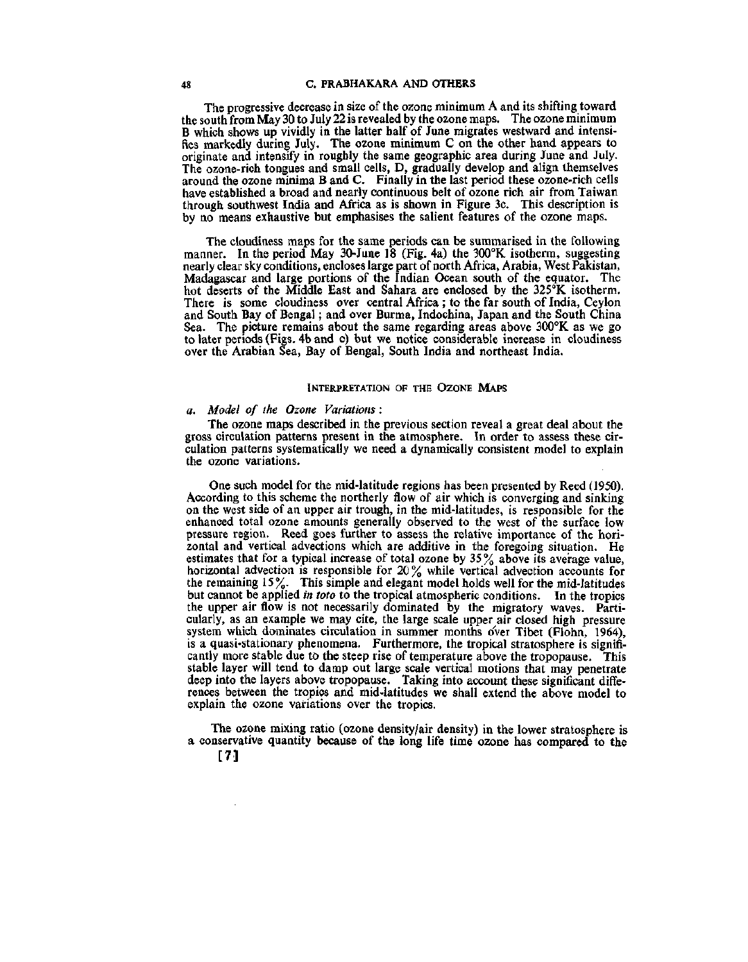## **48 C. PRABHAKARA AND OTHERS**

The progressive decrease in size of the ozone minimum A and its shifting toward the south from May 30 to July 22 is revealed by the ozone maps. The ozone minimum B which shows up vividly in the latter half of June migrates westward and intensifies markedly during July. The ozone minimum C on the other hand appears to originate and intensify in roughly the same geographic area during June and July. The ozone-rich tongues and small cells, D, gradually develop and align themselves around the ozone minima B and C. Finally in the last period these ozone-rich cells have established a broad and nearly continuous belt of ozone rich air from Taiwan through southwest India and Africa as is shown in Figure 3c. This description is by no means exhaustive but emphasises the salient features of the ozone maps.

The cloudiness maps for the same periods can be summarised in the following manner. In the period May 30-June 18 (Fig. 4a) the 300°K isotherm, suggesting nearly clear sky conditions, encloses large part of north Africa, Arabia, West Pakistan, Madagascar and large portions of the Indian Ocean south of the equator. The hot deserts of the Middle East and Sahara are enclosed by the 325°K isotherm. There is some cloudiness over central Africa ; to the far south of India, Ceylon and South Bay of Bengal; and over Burma, Indochina, Japan and the South China Sea. The picture remains about the same regarding areas above 300°K as we go to later periods (Figs. 4b and c) but we notice considerable increase in cloudiness over the Arabian Sea, Bay of Bengal, South India and northeast India.

### INTERPRETATION OF THE OZONE MAPS

# *a. Model of the Ozone Variations :*

The ozone maps described in the previous section reveal a great deal about the gross circulation patterns present in the atmosphere. In order to assess these circulation patterns systematically we need a dynamically consistent model to explain the ozone variations.

One such model for the mid-latitude regions has been presented by Reed (1950). According to this scheme the northerly flow of air which is converging and sinking on the west side of an upper air trough, in the mid-latitudes, is responsible for the enhanced total ozone amounts generally observed to the west of the surface low pressure region. Reed goes further to assess the relative importance of the horizontal and vertical advections which are additive in the foregoing situation. He estimates that for a typical increase of total ozone by  $35\%$  above its average value, horizontal advection is responsible for 20% while vertical advection accounts for the remaining 15%. This simple and elegant model holds well for the mid-latitudes but cannot be applied *in toto* to the tropical atmospheric conditions. In the tropics the upper air flow is not necessarily dominated by the migratory waves. Particularly, as an example we may cite, the large scale upper air closed high pressure system which dominates circulation in summer months over Tibet (Flohn, 1964), is a quasi-stationary phenomena. Furthermore, the tropical stratosphere is significantly more stable due to the steep rise of temperature above the tropopause. This stable layer will tend to damp out large scale vertical motions that may penetrate deep into the layers above tropopause. Taking into account these significant differences between the tropics and mid-latitudes we shall extend the above model to explain the ozone variations over the tropics.

The ozone mixing ratio (ozone density/air density) in the lower stratosphere is a conservative quantity because of the long life time ozone has compared to the

[7]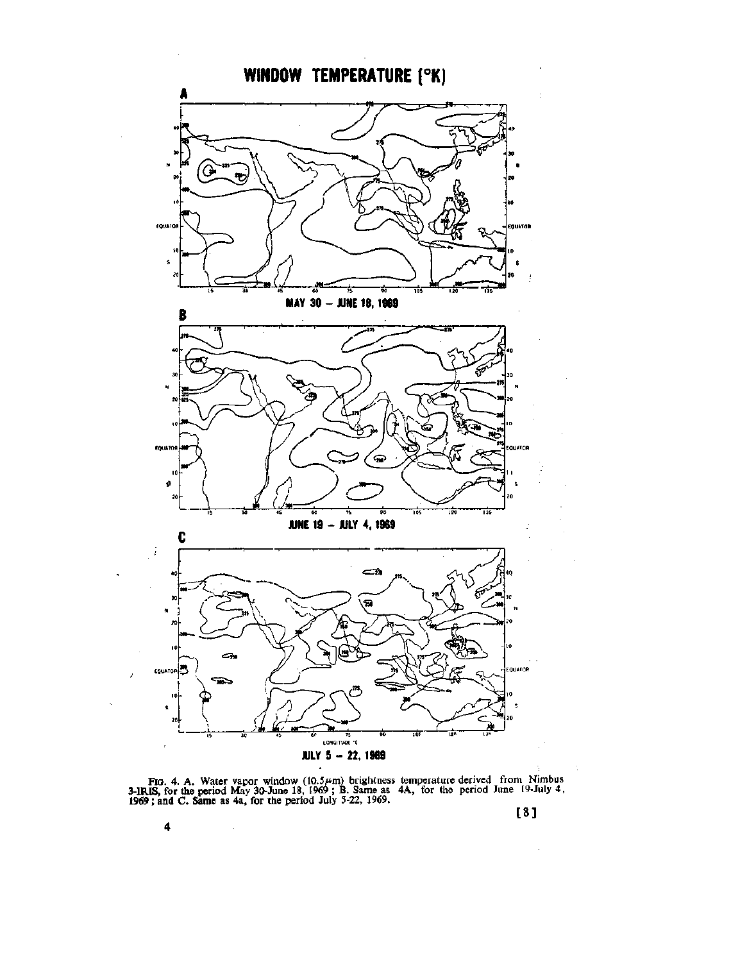

FIO. 4. A. Water vapor window (10.5 $\mu$ m) brightness temperature derived from Nimbus **3-IRIS, for the** period May 30-June 18, 1969 ; **B.** Same as 4A, for the period June 19-July 4, **1969; and C. Same** as 4a, **for the** period July 5-22, 1969.

 $\overline{\phantom{a}}$ 



4

 $\bar{\beta}$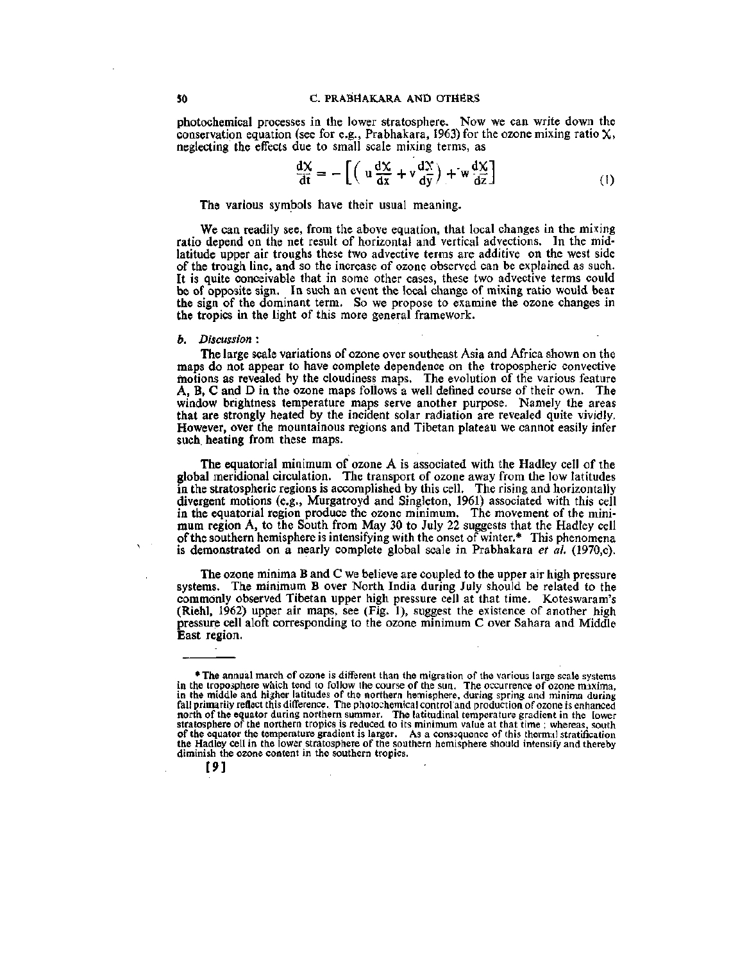photochemical processes in the lower stratosphere. Now we can write down the conservation equation (see for e.g., Prabhakara, 1963) for the ozone mixing ratio  $X$ , neglecting the effects due to small scale mixing terms, as

$$
\frac{dX}{dt} = -\left[ \left( u \frac{dX}{dx} + v \frac{dX}{dy} \right) + w \frac{dX}{dz} \right] \tag{1}
$$

The various symbols have their usual meaning.

We can readily see, from the above equation, that local changes in the mixing ratio depend on the net result of horizontal and vertical advections. In the midlatitude upper air troughs these two advective terras are additive on the west side of the trough line, and so the increase of ozone observed can be explained as such. It is quite conceivable that in some other cases, these two advective terms could be of opposite sign. In such an event the local change of mixing ratio would bear the sign of the dominant term. So we propose to examine the ozone changes in the tropics in the light of this more general framework.

#### *b. Discussion* :

The large scale variations of ozone over southeast Asia and Africa shown on the maps do not appear to have complete dependence on the tropospheric convective motions as revealed by the cloudiness maps. The evolution of the various feature A, B, C and D in the ozone maps follows a well defined course of their own. The window brightness temperature maps serve another purpose. Namely the areas that are strongly heated by the incident solar radiation are revealed quite vividly. However, over the mountainous regions and Tibetan plateau we cannot easily infer such heating from these maps.

The equatorial minimum of ozone A is associated with the Hadley cell of the global meridional circulation. The transport of ozone away from the low latitudes in the stratospheric regions is accomplished by this cell. The rising and horizontally divergent motions (e.g., Murgatroyd and Singleton, 1961) associated with this cell in the equatorial region produce the ozone minimum. The movement of the minimum region A, to the South from May 30 to July 22 suggests that the Hadley cell of the southern hemisphere is intensifying with the onset of winter.\* This phenomena is demonstrated on a nearly complete global scale in Prabhakara *et al.* (1970,c).

The ozone minima B and C we believe are coupled to the upper air high pressure systems. The minimum B over North India during July should be related to the commonly observed Tibetan upper high pressure cell at that time. Koteswaram's (Riehl, 1962) upper air maps, see (Fig. 1), suggest the existence of another high pressure cell aloft corresponding to the ozone minimum C over Sahara and Middle East region.

<sup>•</sup> The annual march of ozone is different than the migration of the various large scale systems in the troposphere which tend to follow the course of the sun. The occurrence of ozone maxima, in the middle and higher latitudes of the northern hemisphere, during spring and minima during fall primarily reflect this diflference. The photochemical controland production of ozone is enhanced north of the equator during northern summer. The latitudinal temperature gradient in the lower stratosphere of the northern tropics is reduced to its minimum value at that time ; whereas, south of the equator the temperature gradient is larger. As a conssquence of this thermal stratification the Hadley cell in the lower stratosphere of the southern hemisphere should intensify and thereby diminish the ozone content in the southern tropics.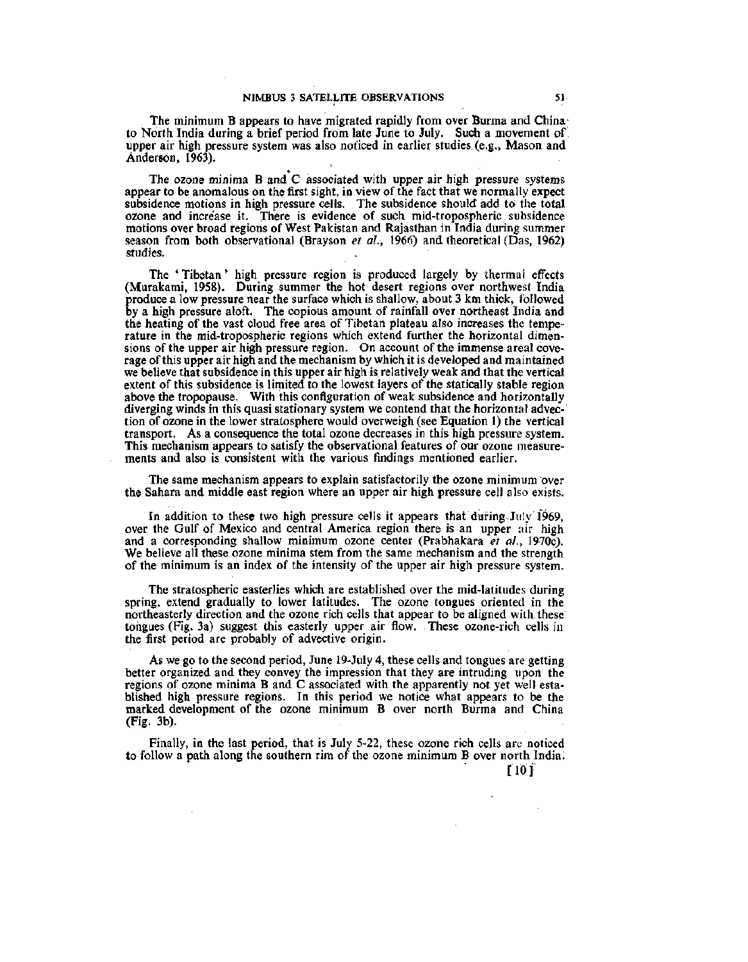The minimum B appears to have migrated rapidly from over Burma and Chinato North India during a brief period from late June to July. Such a movement of upper air high pressure system was also noticed in earlier studies (e.g., Mason and Anderson, 1963).

The ozone minima  $B$  and  $C$  associated with upper air high pressure systems appear to be anomalous on the first sight, in view of the fact that we normally expect subsidence motions in high pressure cells. The subsidence should add to the total ozone and increase it. There is evidence of such mid-tropospheric subsidence motions over broad regions of West Pakistan and Rajasthan in India during summer season from both observational (Brayson *et al.,* 1966) and theoretical (Das, 1962.) studies.

The ' Tibetan' high pressure region is produced largely by thermal effects (Murakami, 1958). During summer the hot desert regions over northwest India produce a low pressure near the surface which is shallow, about 3 km thick, followed by a high pressure aloft. The copious amount of rainfall over northeast India and the heating of the vast cloud free area of Tibetan plateau also increases the temperature in the mid-tropospheric regions which extend further the horizontal dimensions of the upper air high pressure region. On account of the immense areal coverage of this upper air high and the mechanism by which it is developed and maintained we believe that subsidence in this upper air high is relatively weak and that the vertical extent of this subsidence is limited to the lowest layers of the statically stable region above the tropopause. With this configuration of weak subsidence and horizontally diverging winds in this quasi stationary system we contend that the horizontal advection of ozone in the lower stratosphere would overweigh (see Equation 1) the vertical transport. As a consequence the total ozone decreases in this high pressure system. This mechanism appears to satisfy the observational features of our ozone measurements and also is consistent with the various findings mentioned earlier.

The same mechanism appears to explain satisfactorily the ozone minimum over the Sahara and middle east region where an upper air high pressure cell also exists.

In addition to these two high pressure cells it appears that during. July 1969, over the Gulf of Mexico and central America region there is an upper air high and a corresponding shallow minimum ozone center (Prabhakara *et al.,* 1970c). We believe all these ozone minima stem from the same mechanism and the strength of the minimum is an index of the intensity of the upper air high pressure system.

The stratospheric easterlies which are established over the mid-latitudes during spring, extend gradually to lower latitudes. The ozone tongues oriented in the northeasterly direction and the ozone rich cells that appear to be aligned with these tongues (Fig. 3a) suggest this easterly upper air flow. These ozone-rich cells in the first period are probably of advective origin.

As we go to the second period, June 19-July 4, these cells and tongues are getting better organized and they convey the impression that they are intruding upon the regions of ozone minima B and C associated with the apparently not yet well established high pressure regions. In this period we notice what appears to be the marked development of the ozone minimum B over north Burma and China (Fig. 3b).

Finally, in the last period, that is July 5-22, these ozone rich cells are noticed to follow a path along the southern rim of the ozone minimum B over north India.

[10]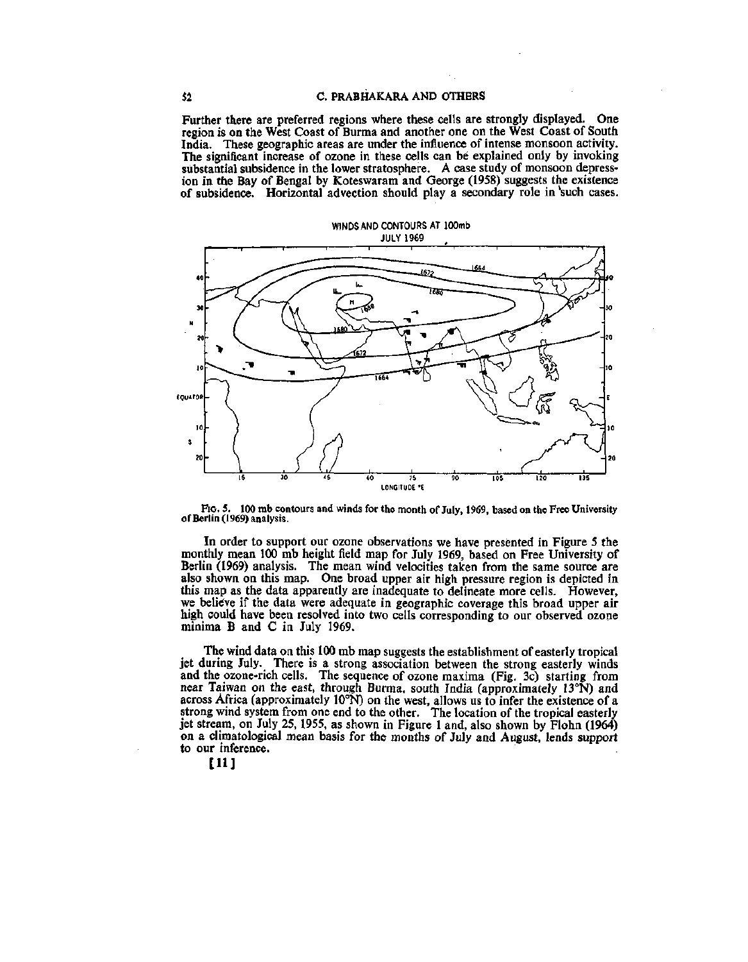Further there are preferred regions where these cells are strongly displayed. One region is on the West Coast of Burma and another one on the West Coast of South India. These geographic areas are under the influence of intense monsoon activity. The significant increase of ozone in these cells can be explained only by invoking substantial subsidence in the lower stratosphere. A case study of monsoon depression in the Bay of Bengal by Koteswaram and George (1958) suggests the existence of subsidence. Horizontal advection should play a secondary role in 'such cases.



Fto. 5. 100 mb contours and winds for the month of July, 1969, based on the Free University of Berlin (1969) analysis.

In order to support our ozone observations we have presented in Figure 5 the monthly mean 100 mb height field map for July 1969, based on Free University of Berlin (1969) analysis. The mean wind velocities taken from the same source are also shown on this map. One broad upper air high pressure region is depicted in this map as the data apparently are inadequate to delineate more cells. However, we believe if the data were adequate in geographic coverage this broad upper air high could have been resolved into two cells corresponding to our observed ozone minima B and C in July 1969.

The wind data on this 100 mb map suggests the establishment of easterly tropical jet during July. There is a strong association between the strong easterly winds and the ozone-rich cells. The sequence of ozone maxima (Fig. 3c) starting from near Taiwan on the east, through Burma, south India (approximately 13°N) and across Africa (approximately 10°N) on the west, allows us to infer the existence of a strong wind system from one end to the other. The location of the tropical easterly jet stream, on July 25, 1955, as shown in Figure 1 and, also shown by Flohn (1964) on a climatological mean basis for the months of July and August, lends support to our inference.

[11]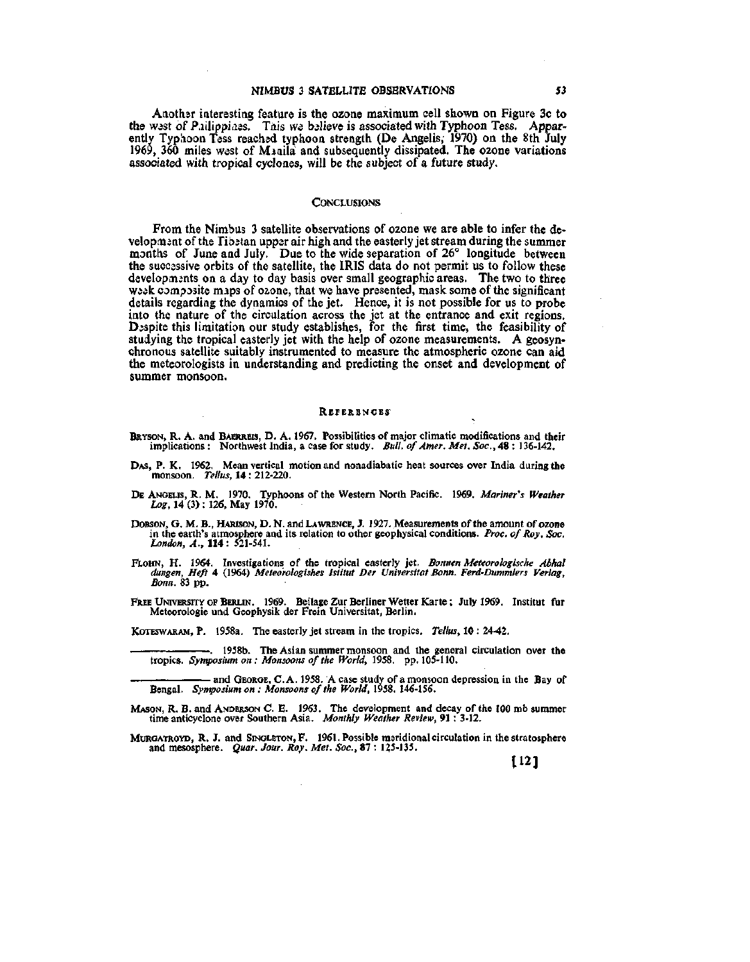### NIMBUS 3 SATELLITE OBSERVATIONS 53

Another interesting feature is the ozone maximum cell shown on Figure 3c to the west of Pailippiaes. Tais we believe is associated with Typhoon Tess. Apparently Typlioon Tess reached typhoon strength (De Angelis, 1970) on the 8th July 1969, 360 miles west of Minila and subsequently dissipated. The ozone variations associated with tropical cyclones, will be the subject of a future study.

# **CONCLUSIONS**

From the Nimbus 3 satellite observations of ozone we are able to infer the development of the Tibetan upper air high and the easterly jet stream during the summer months of June and July. Due to the wide separation of 26° longitude between the successive orbits of the satellite, the IRIS data do not permit us to follow these developments on a day to day basis over small geographic areas. The two to three week composite maps of ozone, that we have presented, mask some of the significant details regarding the dynamics of the jet. Hence, it is not possible for us to probe into the nature of the circulation across the jet at the entrance and exit regions. Despite this limitation our study establishes, for the first time, the feasibility of studying the tropical easterly jet with the help of ozone measurements. A geosynchronous satellite suitably instrumented to measure the atmospheric ozone can aid the meteorologists in understanding and predicting the onset and development of summer monsoon.

#### **REFERENCES**

- BRYSON, R. A. and BAERREIS, D. A. 1967. Possibilities of major climatic modifications and their implications : Northwest India, a case for study. *Bull, of Amer. Met. Soc,* 48 : 136-142.
- DAS, P. K. 1962. Mean vertical motion and nonadiabatic heat sources over India during the monsoon. *Tellus,* 14 : 212-220.
- DE ANGELIS, R. M. 1970. Typhoons of the Western North Pacific. 1969. *Mariner's Weather Log,* 14 (3) : 126, May 1970.
- DOBSON, G. M. B., HARISON, D. N. and LAWRENCE, J. 1927. Measurements of the amount of ozone in the earth's atmosphere and its relation to other geophysical conditions. *Proc. of Roy. Soc. London, A.,* 114: 521-541.
- FLOHN, H . 1964. Investigations of the tropical easterly jet. *Bonnen Meteorologische Abhal dungen, Heft* 4 (1964) *Meteo'rologishes Istitut Der Universitat Bonn. Ferd-Dummlers Verlag, Bonn.* 83 pp.
- FREE UNTVERSITY OF BERLIN. 1969. Beilage Zur Berliner Wetter Karte; July 1969. Institut fur Meteorologie und Geophysik der Frein Universitat, Berlin.

KoTESWARAM, P. 1958a. The easterly jet stream in the tropics. *Tellus,* 10 : 24-42.

1958b. The Asian summer monsoon and the general circulation over the tropics. *Syn^osium on : Monsoons of the World,* 1958. pp. 105-110.

• and GEORGE, C. A. 1958. A case study of a monsoon depression in the Bay of Bengal. *Symposium on : Monsoons of the World,* 1958. 146-156.

- MASON, R. B. and ANDERSON C. E. 1963. The development and decay of the 100 mb summer time anticyclone over Southern Asia. *Monthly Weather Review,* 91 : 3-12.
- MURGATROYD, R. J. and SINGLETON, F. 1961. Possible msridional circulation in the stratosphere and mesosphere. *Quar. Jour. Roy. Met. Soc.,* 87 : 125-135,

**[12J**